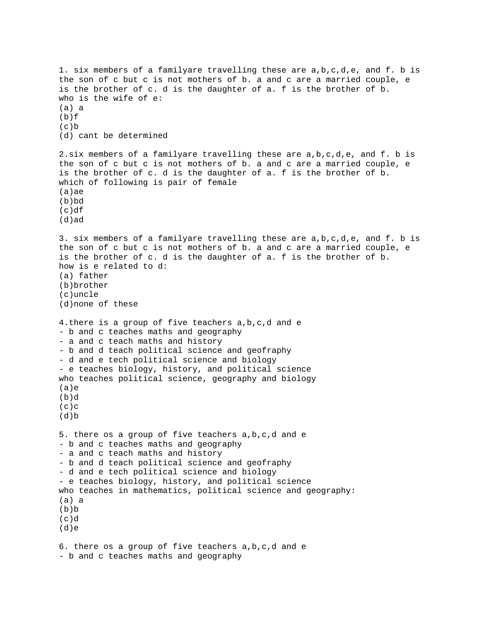```
1. six members of a familyare travelling these are a,b,c,d,e, and f. b is 
the son of c but c is not mothers of b. a and c are a married couple, e 
is the brother of c. d is the daughter of a. f is the brother of b. 
who is the wife of e: 
(a) a 
(b)f
(c)(d) cant be determined 
2.six members of a familyare travelling these are a,b,c,d,e, and f. b is 
the son of c but c is not mothers of b. a and c are a married couple, e 
is the brother of c. d is the daughter of a. f is the brother of b. 
which of following is pair of female 
(a)ae 
(b)bd 
(c)df 
(d)ad 
3. six members of a familyare travelling these are a,b,c,d,e, and f. b is 
the son of c but c is not mothers of b. a and c are a married couple, e 
is the brother of c. d is the daughter of a. f is the brother of b. 
how is e related to d: 
(a) father 
(b)brother 
(c)uncle 
(d)none of these 
4.there is a group of five teachers a,b,c,d and e 
- b and c teaches maths and geography 
- a and c teach maths and history 
- b and d teach political science and geofraphy 
- d and e tech political science and biology 
- e teaches biology, history, and political science 
who teaches political science, geography and biology 
(a)e 
(b)d 
(c)c
(d)5. there os a group of five teachers a,b,c,d and e 
- b and c teaches maths and geography 
- a and c teach maths and history 
- b and d teach political science and geofraphy 
- d and e tech political science and biology 
- e teaches biology, history, and political science 
who teaches in mathematics, political science and geography: 
(a) a 
(b)b(c)d(d)e 
6. there os a group of five teachers a,b,c,d and e 
- b and c teaches maths and geography
```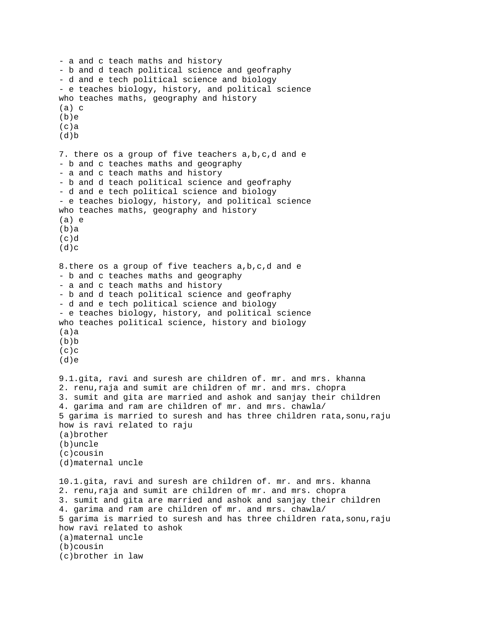```
- a and c teach maths and history 
- b and d teach political science and geofraphy 
- d and e tech political science and biology 
- e teaches biology, history, and political science 
who teaches maths, geography and history 
(a) c 
(b)e 
(c)a
(d)7. there os a group of five teachers a,b,c,d and e 
- b and c teaches maths and geography 
- a and c teach maths and history 
- b and d teach political science and geofraphy 
- d and e tech political science and biology 
- e teaches biology, history, and political science 
who teaches maths, geography and history 
(a) e 
(b)a 
(c)d(d)c8.there os a group of five teachers a,b,c,d and e 
- b and c teaches maths and geography 
- a and c teach maths and history 
- b and d teach political science and geofraphy 
- d and e tech political science and biology 
- e teaches biology, history, and political science 
who teaches political science, history and biology 
(a)a 
(b)b(c)c
(d)e 
9.1.gita, ravi and suresh are children of. mr. and mrs. khanna 
2. renu,raja and sumit are children of mr. and mrs. chopra 
3. sumit and gita are married and ashok and sanjay their children 
4. garima and ram are children of mr. and mrs. chawla/ 
5 garima is married to suresh and has three children rata,sonu,raju 
how is ravi related to raju 
(a)brother 
(b)uncle 
(c)cousin 
(d)maternal uncle 
10.1.gita, ravi and suresh are children of. mr. and mrs. khanna 
2. renu,raja and sumit are children of mr. and mrs. chopra 
3. sumit and gita are married and ashok and sanjay their children 
4. garima and ram are children of mr. and mrs. chawla/ 
5 garima is married to suresh and has three children rata,sonu,raju 
how ravi related to ashok 
(a)maternal uncle 
(b)cousin 
(c)brother in law
```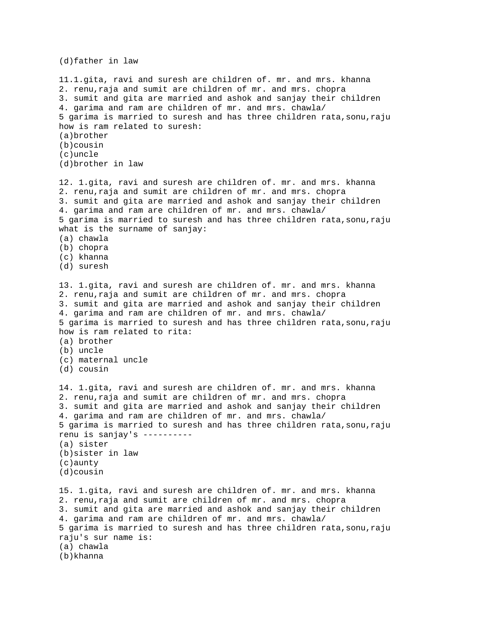(d)father in law

11.1.gita, ravi and suresh are children of. mr. and mrs. khanna 2. renu,raja and sumit are children of mr. and mrs. chopra 3. sumit and gita are married and ashok and sanjay their children 4. garima and ram are children of mr. and mrs. chawla/ 5 garima is married to suresh and has three children rata,sonu,raju how is ram related to suresh: (a)brother (b)cousin (c)uncle (d)brother in law 12. 1.gita, ravi and suresh are children of. mr. and mrs. khanna 2. renu,raja and sumit are children of mr. and mrs. chopra 3. sumit and gita are married and ashok and sanjay their children 4. garima and ram are children of mr. and mrs. chawla/ 5 garima is married to suresh and has three children rata,sonu,raju what is the surname of sanjay: (a) chawla (b) chopra (c) khanna (d) suresh 13. 1.gita, ravi and suresh are children of. mr. and mrs. khanna 2. renu,raja and sumit are children of mr. and mrs. chopra 3. sumit and gita are married and ashok and sanjay their children 4. garima and ram are children of mr. and mrs. chawla/ 5 garima is married to suresh and has three children rata,sonu,raju how is ram related to rita: (a) brother (b) uncle (c) maternal uncle (d) cousin 14. 1.gita, ravi and suresh are children of. mr. and mrs. khanna 2. renu,raja and sumit are children of mr. and mrs. chopra 3. sumit and gita are married and ashok and sanjay their children 4. garima and ram are children of mr. and mrs. chawla/ 5 garima is married to suresh and has three children rata,sonu,raju renu is sanjay's ---------- (a) sister (b)sister in law (c)aunty (d)cousin 15. 1.gita, ravi and suresh are children of. mr. and mrs. khanna 2. renu,raja and sumit are children of mr. and mrs. chopra 3. sumit and gita are married and ashok and sanjay their children 4. garima and ram are children of mr. and mrs. chawla/ 5 garima is married to suresh and has three children rata,sonu,raju raju's sur name is: (a) chawla (b)khanna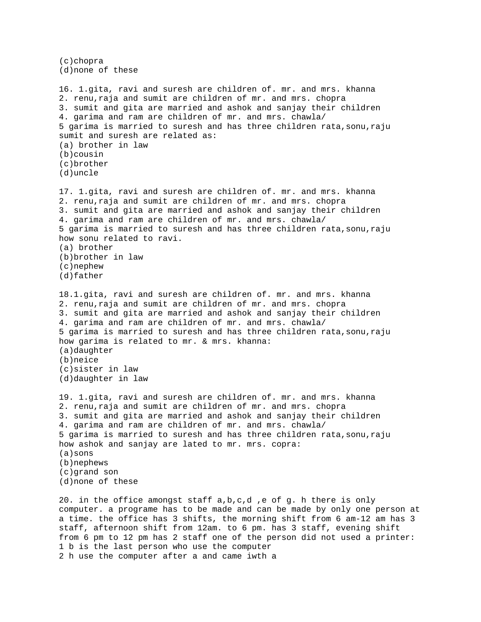(c)chopra (d)none of these 16. 1.gita, ravi and suresh are children of. mr. and mrs. khanna 2. renu,raja and sumit are children of mr. and mrs. chopra 3. sumit and gita are married and ashok and sanjay their children 4. garima and ram are children of mr. and mrs. chawla/ 5 garima is married to suresh and has three children rata,sonu,raju sumit and suresh are related as: (a) brother in law (b)cousin (c)brother (d)uncle 17. 1.gita, ravi and suresh are children of. mr. and mrs. khanna 2. renu,raja and sumit are children of mr. and mrs. chopra 3. sumit and gita are married and ashok and sanjay their children 4. garima and ram are children of mr. and mrs. chawla/ 5 garima is married to suresh and has three children rata,sonu,raju how sonu related to ravi. (a) brother (b)brother in law (c)nephew (d)father 18.1.gita, ravi and suresh are children of. mr. and mrs. khanna 2. renu,raja and sumit are children of mr. and mrs. chopra 3. sumit and gita are married and ashok and sanjay their children 4. garima and ram are children of mr. and mrs. chawla/ 5 garima is married to suresh and has three children rata,sonu,raju how garima is related to mr. & mrs. khanna: (a)daughter (b)neice (c)sister in law (d)daughter in law 19. 1.gita, ravi and suresh are children of. mr. and mrs. khanna 2. renu,raja and sumit are children of mr. and mrs. chopra 3. sumit and gita are married and ashok and sanjay their children 4. garima and ram are children of mr. and mrs. chawla/ 5 garima is married to suresh and has three children rata,sonu,raju how ashok and sanjay are lated to mr. mrs. copra: (a)sons (b)nephews (c)grand son (d)none of these 20. in the office amongst staff a,b,c,d ,e of g. h there is only computer. a programe has to be made and can be made by only one person at a time. the office has 3 shifts, the morning shift from 6 am-12 am has 3 staff, afternoon shift from 12am. to 6 pm. has 3 staff, evening shift from 6 pm to 12 pm has 2 staff one of the person did not used a printer: 1 b is the last person who use the computer 2 h use the computer after a and came iwth a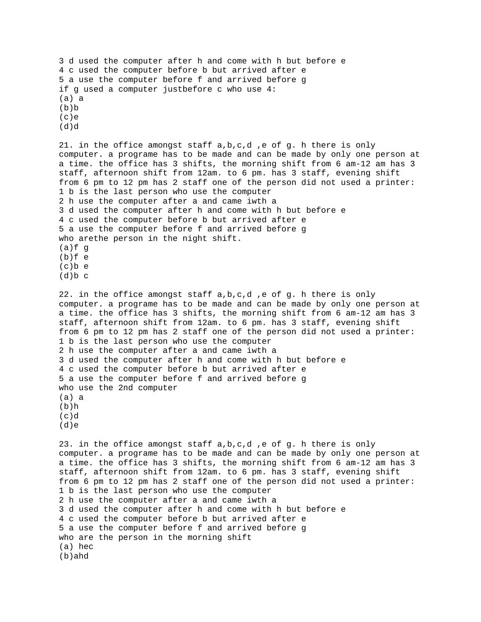```
3 d used the computer after h and come with h but before e 
4 c used the computer before b but arrived after e 
5 a use the computer before f and arrived before g 
if g used a computer justbefore c who use 4: 
(a) a 
(b)b(c)e 
(d)d21. in the office amongst staff a,b,c,d ,e of g. h there is only 
computer. a programe has to be made and can be made by only one person at 
a time. the office has 3 shifts, the morning shift from 6 am-12 am has 3 
staff, afternoon shift from 12am. to 6 pm. has 3 staff, evening shift 
from 6 pm to 12 pm has 2 staff one of the person did not used a printer: 
1 b is the last person who use the computer 
2 h use the computer after a and came iwth a 
3 d used the computer after h and come with h but before e 
4 c used the computer before b but arrived after e 
5 a use the computer before f and arrived before g 
who arethe person in the night shift. 
(a) f q(b)f e
(c)b e 
(d)b c22. in the office amongst staff a,b,c,d ,e of g. h there is only 
computer. a programe has to be made and can be made by only one person at 
a time. the office has 3 shifts, the morning shift from 6 am-12 am has 3 
staff, afternoon shift from 12am. to 6 pm. has 3 staff, evening shift 
from 6 pm to 12 pm has 2 staff one of the person did not used a printer: 
1 b is the last person who use the computer 
2 h use the computer after a and came iwth a 
3 d used the computer after h and come with h but before e 
4 c used the computer before b but arrived after e 
5 a use the computer before f and arrived before g 
who use the 2nd computer 
(a) a 
(b)h 
(c)d
(d)e 
23. in the office amongst staff a,b,c,d ,e of g. h there is only 
computer. a programe has to be made and can be made by only one person at 
a time. the office has 3 shifts, the morning shift from 6 am-12 am has 3 
staff, afternoon shift from 12am. to 6 pm. has 3 staff, evening shift 
from 6 pm to 12 pm has 2 staff one of the person did not used a printer: 
1 b is the last person who use the computer 
2 h use the computer after a and came iwth a 
3 d used the computer after h and come with h but before e 
4 c used the computer before b but arrived after e 
5 a use the computer before f and arrived before g 
who are the person in the morning shift 
(a) hec 
(b)ahd
```